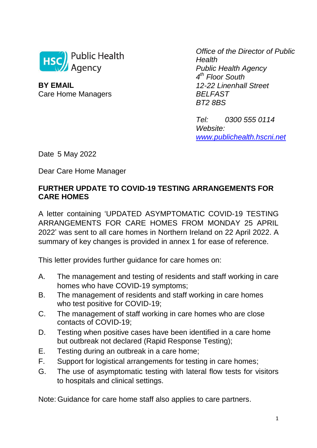

**BY EMAIL** Care Home Managers

*Office of the Director of Public Health Public Health Agency 4 th Floor South 12-22 Linenhall Street BELFAST BT2 8BS*

*Tel: 0300 555 0114 Website: [www.publichealth.hscni.net](http://www.publichealth.hscni.net/)*

Date 5 May 2022

Dear Care Home Manager

# **FURTHER UPDATE TO COVID-19 TESTING ARRANGEMENTS FOR CARE HOMES**

A letter containing 'UPDATED ASYMPTOMATIC COVID-19 TESTING ARRANGEMENTS FOR CARE HOMES FROM MONDAY 25 APRIL 2022' was sent to all care homes in Northern Ireland on 22 April 2022. A summary of key changes is provided in annex 1 for ease of reference.

This letter provides further guidance for care homes on:

- A. The management and testing of residents and staff working in care homes who have COVID-19 symptoms;
- B. The management of residents and staff working in care homes who test positive for COVID-19;
- C. The management of staff working in care homes who are close contacts of COVID-19;
- D. Testing when positive cases have been identified in a care home but outbreak not declared (Rapid Response Testing);
- E. Testing during an outbreak in a care home;
- F. Support for logistical arrangements for testing in care homes;
- G. The use of asymptomatic testing with lateral flow tests for visitors to hospitals and clinical settings.

Note: Guidance for care home staff also applies to care partners.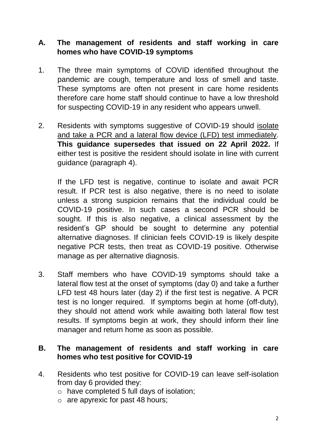# **A. The management of residents and staff working in care homes who have COVID-19 symptoms**

- 1. The three main symptoms of COVID identified throughout the pandemic are cough, temperature and loss of smell and taste. These symptoms are often not present in care home residents therefore care home staff should continue to have a low threshold for suspecting COVID-19 in any resident who appears unwell.
- 2. Residents with symptoms suggestive of COVID-19 should isolate and take a PCR and a lateral flow device (LFD) test immediately. **This guidance supersedes that issued on 22 April 2022.** If either test is positive the resident should isolate in line with current guidance (paragraph 4).

If the LFD test is negative, continue to isolate and await PCR result. If PCR test is also negative, there is no need to isolate unless a strong suspicion remains that the individual could be COVID-19 positive. In such cases a second PCR should be sought. If this is also negative, a clinical assessment by the resident's GP should be sought to determine any potential alternative diagnoses. If clinician feels COVID-19 is likely despite negative PCR tests, then treat as COVID-19 positive. Otherwise manage as per alternative diagnosis.

3. Staff members who have COVID-19 symptoms should take a lateral flow test at the onset of symptoms (day 0) and take a further LFD test 48 hours later (day 2) if the first test is negative. A PCR test is no longer required. If symptoms begin at home (off-duty), they should not attend work while awaiting both lateral flow test results. If symptoms begin at work, they should inform their line manager and return home as soon as possible.

#### **B. The management of residents and staff working in care homes who test positive for COVID-19**

- 4. Residents who test positive for COVID-19 can leave self-isolation from day 6 provided they:
	- o have completed 5 full days of isolation;
	- o are apyrexic for past 48 hours;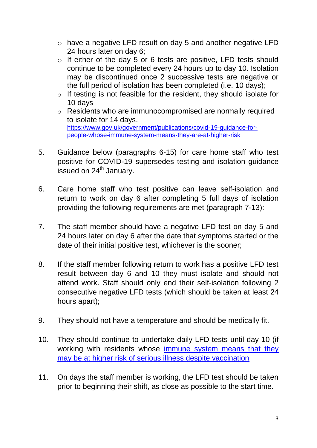- o have a negative LFD result on day 5 and another negative LFD 24 hours later on day 6;
- o If either of the day 5 or 6 tests are positive, LFD tests should continue to be completed every 24 hours up to day 10. Isolation may be discontinued once 2 successive tests are negative or the full period of isolation has been completed (i.e. 10 days);
- o If testing is not feasible for the resident, they should isolate for 10 days
- o Residents who are immunocompromised are normally required to isolate for 14 days. [https://www.gov.uk/government/publications/covid-19-guidance-for](https://www.gov.uk/government/publications/covid-19-guidance-for-people-whose-immune-system-means-they-are-at-higher-risk)[people-whose-immune-system-means-they-are-at-higher-risk](https://www.gov.uk/government/publications/covid-19-guidance-for-people-whose-immune-system-means-they-are-at-higher-risk)
- 5. Guidance below (paragraphs 6-15) for care home staff who test positive for COVID-19 supersedes testing and isolation guidance issued on  $24<sup>th</sup>$  January.
- 6. Care home staff who test positive can leave self-isolation and return to work on day 6 after completing 5 full days of isolation providing the following requirements are met (paragraph 7-13):
- 7. The staff member should have a negative LFD test on day 5 and 24 hours later on day 6 after the date that symptoms started or the date of their initial positive test, whichever is the sooner;
- 8. If the staff member following return to work has a positive LFD test result between day 6 and 10 they must isolate and should not attend work. Staff should only end their self-isolation following 2 consecutive negative LFD tests (which should be taken at least 24 hours apart);
- 9. They should not have a temperature and should be medically fit.
- 10. They should continue to undertake daily LFD tests until day 10 (if working with residents whose [immune system means that they](https://www.gov.uk/government/publications/covid-19-guidance-for-people-whose-immune-system-means-they-are-at-higher-risk/covid-19-guidance-for-people-whose-immune-system-means-they-are-at-higher-risk)  [may be at higher risk of serious illness despite vaccination](https://www.gov.uk/government/publications/covid-19-guidance-for-people-whose-immune-system-means-they-are-at-higher-risk/covid-19-guidance-for-people-whose-immune-system-means-they-are-at-higher-risk)
- 11. On days the staff member is working, the LFD test should be taken prior to beginning their shift, as close as possible to the start time.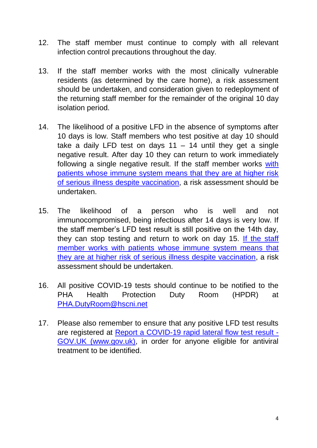- 12. The staff member must continue to comply with all relevant infection control precautions throughout the day.
- 13. If the staff member works with the most clinically vulnerable residents (as determined by the care home), a risk assessment should be undertaken, and consideration given to redeployment of the returning staff member for the remainder of the original 10 day isolation period.
- 14. The likelihood of a positive LFD in the absence of symptoms after 10 days is low. Staff members who test positive at day 10 should take a daily LFD test on days  $11 - 14$  until they get a single negative result. After day 10 they can return to work immediately following a single negative result. If the staff member works [with](https://www.gov.uk/government/publications/covid-19-guidance-for-people-whose-immune-system-means-they-are-at-higher-risk/covid-19-guidance-for-people-whose-immune-system-means-they-are-at-higher-risk)  [patients whose immune system means that they are at higher risk](https://www.gov.uk/government/publications/covid-19-guidance-for-people-whose-immune-system-means-they-are-at-higher-risk/covid-19-guidance-for-people-whose-immune-system-means-they-are-at-higher-risk)  [of serious illness despite vaccination,](https://www.gov.uk/government/publications/covid-19-guidance-for-people-whose-immune-system-means-they-are-at-higher-risk/covid-19-guidance-for-people-whose-immune-system-means-they-are-at-higher-risk) a risk assessment should be undertaken.
- 15. The likelihood of a person who is well and not immunocompromised, being infectious after 14 days is very low. If the staff member's LFD test result is still positive on the 14th day, they can stop testing and return to work on day 15. [If the staff](file://hscni.net/PHA/Public%20Health/CemachII/COVID%2019/Nursing_residential%20homes/Testing/Testing%20update%20for%20ASC%20April%202022/The%20likelihood%20of%20a%20person%20who%20is%20well%20and%20not%20immunocompromised,%20being%20infectious%20after%2014%20days%20is%20very%20low.%20If%20the%20staff%20member’s%20LFD%20test%20result%20is%20still%20positive%20on%20the%2014th%20day,%20they%20can%20stop%20testing%20and%20return%20to%20work%20on%20day%2015.%20If%20the%20staff%20member%20works%20with%20patients%20whose%20immune%20system%20means%20that%20they%20are%20at%20higher%20risk%20of%20serious%20illness%20despite%20vaccination,%20a%20risk%20assessment%20should%20be%20undertaken.)  [member works with patients whose immune system means that](file://hscni.net/PHA/Public%20Health/CemachII/COVID%2019/Nursing_residential%20homes/Testing/Testing%20update%20for%20ASC%20April%202022/The%20likelihood%20of%20a%20person%20who%20is%20well%20and%20not%20immunocompromised,%20being%20infectious%20after%2014%20days%20is%20very%20low.%20If%20the%20staff%20member’s%20LFD%20test%20result%20is%20still%20positive%20on%20the%2014th%20day,%20they%20can%20stop%20testing%20and%20return%20to%20work%20on%20day%2015.%20If%20the%20staff%20member%20works%20with%20patients%20whose%20immune%20system%20means%20that%20they%20are%20at%20higher%20risk%20of%20serious%20illness%20despite%20vaccination,%20a%20risk%20assessment%20should%20be%20undertaken.)  [they are at higher risk of serious illness despite vaccination,](file://hscni.net/PHA/Public%20Health/CemachII/COVID%2019/Nursing_residential%20homes/Testing/Testing%20update%20for%20ASC%20April%202022/The%20likelihood%20of%20a%20person%20who%20is%20well%20and%20not%20immunocompromised,%20being%20infectious%20after%2014%20days%20is%20very%20low.%20If%20the%20staff%20member’s%20LFD%20test%20result%20is%20still%20positive%20on%20the%2014th%20day,%20they%20can%20stop%20testing%20and%20return%20to%20work%20on%20day%2015.%20If%20the%20staff%20member%20works%20with%20patients%20whose%20immune%20system%20means%20that%20they%20are%20at%20higher%20risk%20of%20serious%20illness%20despite%20vaccination,%20a%20risk%20assessment%20should%20be%20undertaken.) a risk assessment should be undertaken.
- 16. All positive COVID-19 tests should continue to be notified to the PHA Health Protection Duty Room (HPDR) at [PHA.DutyRoom@hscni.net](mailto:PHA.DutyRoom@hscni.net)
- 17. Please also remember to ensure that any positive LFD test results are registered at [Report a COVID-19 rapid lateral flow test result -](https://www.gov.uk/report-covid19-result) [GOV.UK \(www.gov.uk\),](https://www.gov.uk/report-covid19-result) in order for anyone eligible for antiviral treatment to be identified.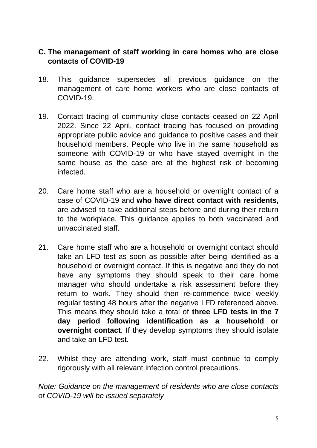# **C. The management of staff working in care homes who are close contacts of COVID-19**

- 18. This guidance supersedes all previous guidance on the management of care home workers who are close contacts of COVID-19.
- 19. Contact tracing of community close contacts ceased on 22 April 2022. Since 22 April, contact tracing has focused on providing appropriate public advice and guidance to positive cases and their household members. People who live in the same household as someone with COVID-19 or who have stayed overnight in the same house as the case are at the highest risk of becoming infected.
- 20. Care home staff who are a household or overnight contact of a case of COVID-19 and **who have direct contact with residents,**  are advised to take additional steps before and during their return to the workplace. This guidance applies to both vaccinated and unvaccinated staff.
- 21. Care home staff who are a household or overnight contact should take an LFD test as soon as possible after being identified as a household or overnight contact. If this is negative and they do not have any symptoms they should speak to their care home manager who should undertake a risk assessment before they return to work. They should then re-commence twice weekly regular testing 48 hours after the negative LFD referenced above. This means they should take a total of **three LFD tests in the 7 day period following identification as a household or overnight contact**. If they develop symptoms they should isolate and take an LFD test.
- 22. Whilst they are attending work, staff must continue to comply rigorously with all relevant infection control precautions.

*Note: Guidance on the management of residents who are close contacts of COVID-19 will be issued separately*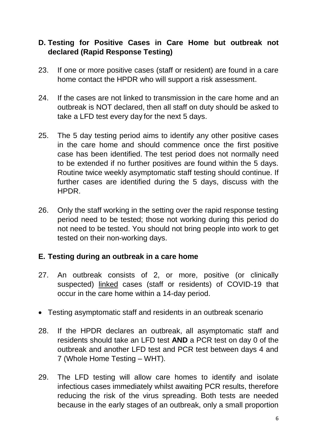# **D. Testing for Positive Cases in Care Home but outbreak not declared (Rapid Response Testing)**

- 23. If one or more positive cases (staff or resident) are found in a care home contact the HPDR who will support a risk assessment.
- 24. If the cases are not linked to transmission in the care home and an outbreak is NOT declared, then all staff on duty should be asked to take a LFD test every day for the next 5 days.
- 25. The 5 day testing period aims to identify any other positive cases in the care home and should commence once the first positive case has been identified. The test period does not normally need to be extended if no further positives are found within the 5 days. Routine twice weekly asymptomatic staff testing should continue. If further cases are identified during the 5 days, discuss with the HPDR.
- 26. Only the staff working in the setting over the rapid response testing period need to be tested; those not working during this period do not need to be tested. You should not bring people into work to get tested on their non-working days.

# **E. Testing during an outbreak in a care home**

- 27. An outbreak consists of 2, or more, positive (or clinically suspected) linked cases (staff or residents) of COVID-19 that occur in the care home within a 14-day period.
- Testing asymptomatic staff and residents in an outbreak scenario
- 28. If the HPDR declares an outbreak, all asymptomatic staff and residents should take an LFD test **AND** a PCR test on day 0 of the outbreak and another LFD test and PCR test between days 4 and 7 (Whole Home Testing – WHT).
- 29. The LFD testing will allow care homes to identify and isolate infectious cases immediately whilst awaiting PCR results, therefore reducing the risk of the virus spreading. Both tests are needed because in the early stages of an outbreak, only a small proportion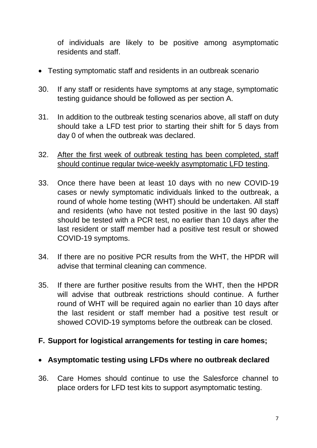of individuals are likely to be positive among asymptomatic residents and staff.

- Testing symptomatic staff and residents in an outbreak scenario
- 30. If any staff or residents have symptoms at any stage, symptomatic testing guidance should be followed as per section A.
- 31. In addition to the outbreak testing scenarios above, all staff on duty should take a LFD test prior to starting their shift for 5 days from day 0 of when the outbreak was declared.
- 32. After the first week of outbreak testing has been completed, staff should continue regular twice-weekly asymptomatic LFD testing.
- 33. Once there have been at least 10 days with no new COVID-19 cases or newly symptomatic individuals linked to the outbreak, a round of whole home testing (WHT) should be undertaken. All staff and residents (who have not tested positive in the last 90 days) should be tested with a PCR test, no earlier than 10 days after the last resident or staff member had a positive test result or showed COVID-19 symptoms.
- 34. If there are no positive PCR results from the WHT, the HPDR will advise that terminal cleaning can commence.
- 35. If there are further positive results from the WHT, then the HPDR will advise that outbreak restrictions should continue. A further round of WHT will be required again no earlier than 10 days after the last resident or staff member had a positive test result or showed COVID-19 symptoms before the outbreak can be closed.

#### **F. Support for logistical arrangements for testing in care homes;**

#### **Asymptomatic testing using LFDs where no outbreak declared**

36. Care Homes should continue to use the Salesforce channel to place orders for LFD test kits to support asymptomatic testing.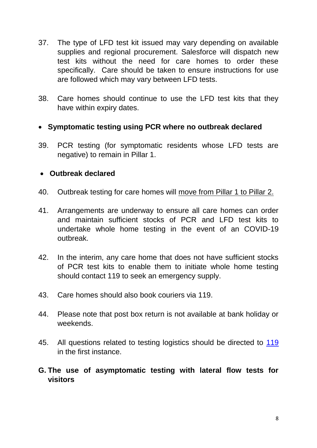- 37. The type of LFD test kit issued may vary depending on available supplies and regional procurement. Salesforce will dispatch new test kits without the need for care homes to order these specifically. Care should be taken to ensure instructions for use are followed which may vary between LFD tests.
- 38. Care homes should continue to use the LFD test kits that they have within expiry dates.

## **Symptomatic testing using PCR where no outbreak declared**

39. PCR testing (for symptomatic residents whose LFD tests are negative) to remain in Pillar 1.

#### **Outbreak declared**

- 40. Outbreak testing for care homes will move from Pillar 1 to Pillar 2.
- 41. Arrangements are underway to ensure all care homes can order and maintain sufficient stocks of PCR and LFD test kits to undertake whole home testing in the event of an COVID-19 outbreak.
- 42. In the interim, any care home that does not have sufficient stocks of PCR test kits to enable them to initiate whole home testing should contact 119 to seek an emergency supply.
- 43. Care homes should also book couriers via 119.
- 44. Please note that post box return is not available at bank holiday or weekends.
- 45. All questions related to testing logistics should be directed to [119](mailto:Trudy.Brown@hscni.net) in the first instance.

## **G. The use of asymptomatic testing with lateral flow tests for visitors**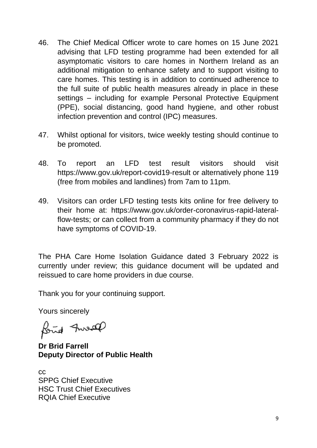- 46. The Chief Medical Officer wrote to care homes on 15 June 2021 advising that LFD testing programme had been extended for all asymptomatic visitors to care homes in Northern Ireland as an additional mitigation to enhance safety and to support visiting to care homes. This testing is in addition to continued adherence to the full suite of public health measures already in place in these settings – including for example Personal Protective Equipment (PPE), social distancing, good hand hygiene, and other robust infection prevention and control (IPC) measures.
- 47. Whilst optional for visitors, twice weekly testing should continue to be promoted.
- 48. To report an LFD test result visitors should visit https://www.gov.uk/report-covid19-result or alternatively phone 119 (free from mobiles and landlines) from 7am to 11pm.
- 49. Visitors can order LFD testing tests kits online for free delivery to their home at: https://www.gov.uk/order-coronavirus-rapid-lateralflow-tests; or can collect from a community pharmacy if they do not have symptoms of COVID-19.

The PHA Care Home Isolation Guidance dated 3 February 2022 is currently under review; this guidance document will be updated and reissued to care home providers in due course.

Thank you for your continuing support.

Yours sincerely

fond Inreal

**Dr Brid Farrell Deputy Director of Public Health**

cc SPPG Chief Executive HSC Trust Chief Executives RQIA Chief Executive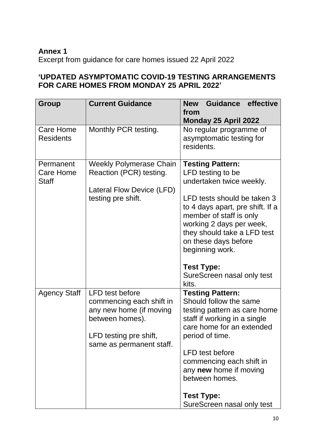# **Annex 1**

Excerpt from guidance for care homes issued 22 April 2022

# **'UPDATED ASYMPTOMATIC COVID-19 TESTING ARRANGEMENTS FOR CARE HOMES FROM MONDAY 25 APRIL 2022'**

| <b>Group</b>                           | <b>Current Guidance</b>                                                                                                                                | <b>Guidance</b><br>effective<br><b>New</b><br>from<br>Monday 25 April 2022                                                                                                                                                                                                   |
|----------------------------------------|--------------------------------------------------------------------------------------------------------------------------------------------------------|------------------------------------------------------------------------------------------------------------------------------------------------------------------------------------------------------------------------------------------------------------------------------|
| Care Home<br><b>Residents</b>          | Monthly PCR testing.                                                                                                                                   | No regular programme of<br>asymptomatic testing for<br>residents.                                                                                                                                                                                                            |
| Permanent<br>Care Home<br><b>Staff</b> | <b>Weekly Polymerase Chain</b><br>Reaction (PCR) testing.<br>Lateral Flow Device (LFD)<br>testing pre shift.                                           | <b>Testing Pattern:</b><br>LFD testing to be<br>undertaken twice weekly.<br>LFD tests should be taken 3<br>to 4 days apart, pre shift. If a<br>member of staff is only<br>working 2 days per week,<br>they should take a LFD test<br>on these days before<br>beginning work. |
|                                        |                                                                                                                                                        | <b>Test Type:</b><br>SureScreen nasal only test<br>kits.                                                                                                                                                                                                                     |
| <b>Agency Staff</b>                    | <b>LFD</b> test before<br>commencing each shift in<br>any new home (if moving<br>between homes).<br>LFD testing pre shift,<br>same as permanent staff. | <b>Testing Pattern:</b><br>Should follow the same<br>testing pattern as care home<br>staff if working in a single<br>care home for an extended<br>period of time.<br><b>LFD</b> test before<br>commencing each shift in<br>any new home if moving<br>between homes.          |
|                                        |                                                                                                                                                        | <b>Test Type:</b><br>SureScreen nasal only test                                                                                                                                                                                                                              |